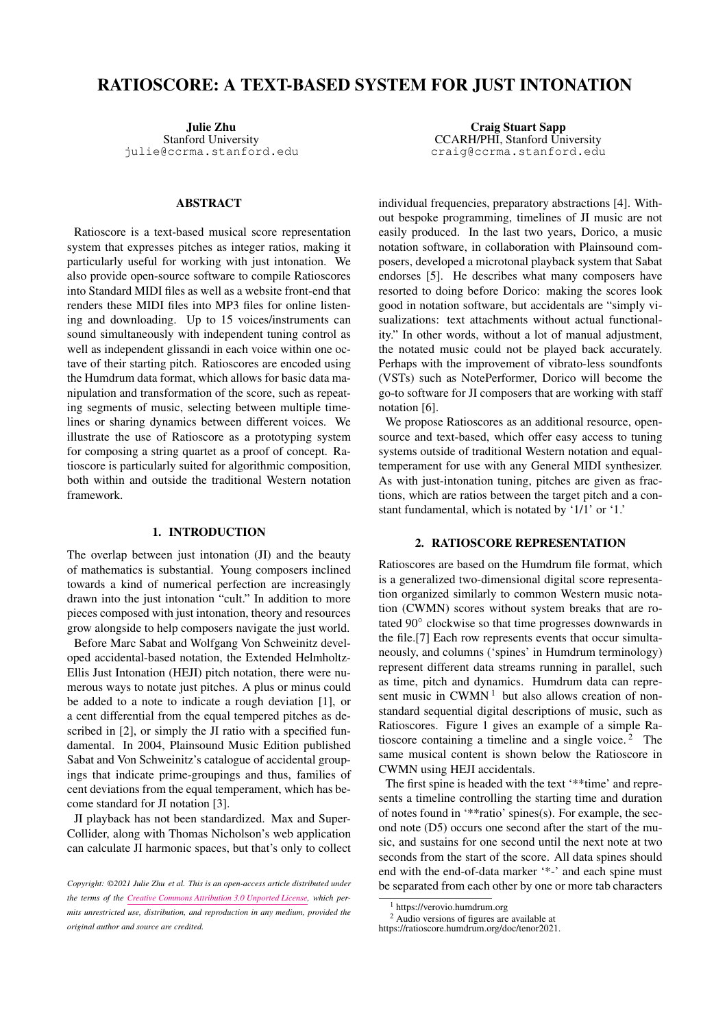# RATIOSCORE: A TEXT-BASED SYSTEM FOR JUST INTONATION

Julie Zhu Stanford University [julie@ccrma.stanford.edu](mailto:julie@ccrma.stanford.edu)

# ABSTRACT

Ratioscore is a text-based musical score representation system that expresses pitches as integer ratios, making it particularly useful for working with just intonation. We also provide open-source software to compile Ratioscores into Standard MIDI files as well as a website front-end that renders these MIDI files into MP3 files for online listening and downloading. Up to 15 voices/instruments can sound simultaneously with independent tuning control as well as independent glissandi in each voice within one octave of their starting pitch. Ratioscores are encoded using the Humdrum data format, which allows for basic data manipulation and transformation of the score, such as repeating segments of music, selecting between multiple timelines or sharing dynamics between different voices. We illustrate the use of Ratioscore as a prototyping system for composing a string quartet as a proof of concept. Ratioscore is particularly suited for algorithmic composition, both within and outside the traditional Western notation framework.

## 1. INTRODUCTION

The overlap between just intonation (JI) and the beauty of mathematics is substantial. Young composers inclined towards a kind of numerical perfection are increasingly drawn into the just intonation "cult." In addition to more pieces composed with just intonation, theory and resources grow alongside to help composers navigate the just world.

Before Marc Sabat and Wolfgang Von Schweinitz developed accidental-based notation, the Extended Helmholtz-Ellis Just Intonation (HEJI) pitch notation, there were numerous ways to notate just pitches. A plus or minus could be added to a note to indicate a rough deviation [\[1\]](#page-6-0), or a cent differential from the equal tempered pitches as described in [\[2\]](#page-6-1), or simply the JI ratio with a specified fundamental. In 2004, Plainsound Music Edition published Sabat and Von Schweinitz's catalogue of accidental groupings that indicate prime-groupings and thus, families of cent deviations from the equal temperament, which has become standard for JI notation [\[3\]](#page-6-2).

JI playback has not been standardized. Max and Super-Collider, along with Thomas Nicholson's web application can calculate JI harmonic spaces, but that's only to collect

Craig Stuart Sapp CCARH/PHI, Stanford University [craig@ccrma.stanford.edu](mailto:craig@ccrma.stanford.edu)

individual frequencies, preparatory abstractions [\[4\]](#page-6-3). Without bespoke programming, timelines of JI music are not easily produced. In the last two years, Dorico, a music notation software, in collaboration with Plainsound composers, developed a microtonal playback system that Sabat endorses [\[5\]](#page-6-4). He describes what many composers have resorted to doing before Dorico: making the scores look good in notation software, but accidentals are "simply visualizations: text attachments without actual functionality." In other words, without a lot of manual adjustment, the notated music could not be played back accurately. Perhaps with the improvement of vibrato-less soundfonts (VSTs) such as NotePerformer, Dorico will become the go-to software for JI composers that are working with staff notation [\[6\]](#page-6-5).

We propose Ratioscores as an additional resource, opensource and text-based, which offer easy access to tuning systems outside of traditional Western notation and equaltemperament for use with any General MIDI synthesizer. As with just-intonation tuning, pitches are given as fractions, which are ratios between the target pitch and a constant fundamental, which is notated by '1/1' or '1.'

# 2. RATIOSCORE REPRESENTATION

Ratioscores are based on the Humdrum file format, which is a generalized two-dimensional digital score representation organized similarly to common Western music notation (CWMN) scores without system breaks that are rotated 90◦ clockwise so that time progresses downwards in the file.[\[7\]](#page-6-6) Each row represents events that occur simultaneously, and columns ('spines' in Humdrum terminology) represent different data streams running in parallel, such as time, pitch and dynamics. Humdrum data can represent music in  $CWMN<sup>1</sup>$  $CWMN<sup>1</sup>$  $CWMN<sup>1</sup>$  but also allows creation of nonstandard sequential digital descriptions of music, such as Ratioscores. Figure [1](#page-1-0) gives an example of a simple Ratioscore containing a timeline and a single voice. $<sup>2</sup>$  $<sup>2</sup>$  $<sup>2</sup>$  The</sup> same musical content is shown below the Ratioscore in CWMN using HEJI accidentals.

The first spine is headed with the text '\*\*time' and represents a timeline controlling the starting time and duration of notes found in '\*\*ratio' spines(s). For example, the second note (D5) occurs one second after the start of the music, and sustains for one second until the next note at two seconds from the start of the score. All data spines should end with the end-of-data marker '\*-' and each spine must be separated from each other by one or more tab characters

*Copyright: ©2021 Julie Zhu et al. This is an open-access article distributed under the terms of the [Creative Commons Attribution 3.0 Unported License,](http://creativecommons.org/licenses/by/3.0/) which permits unrestricted use, distribution, and reproduction in any medium, provided the original author and source are credited.*

<span id="page-0-1"></span><span id="page-0-0"></span><sup>1</sup> https://verovio.humdrum.org

<sup>2</sup> Audio versions of figures are available at https://ratioscore.humdrum.org/doc/tenor2021.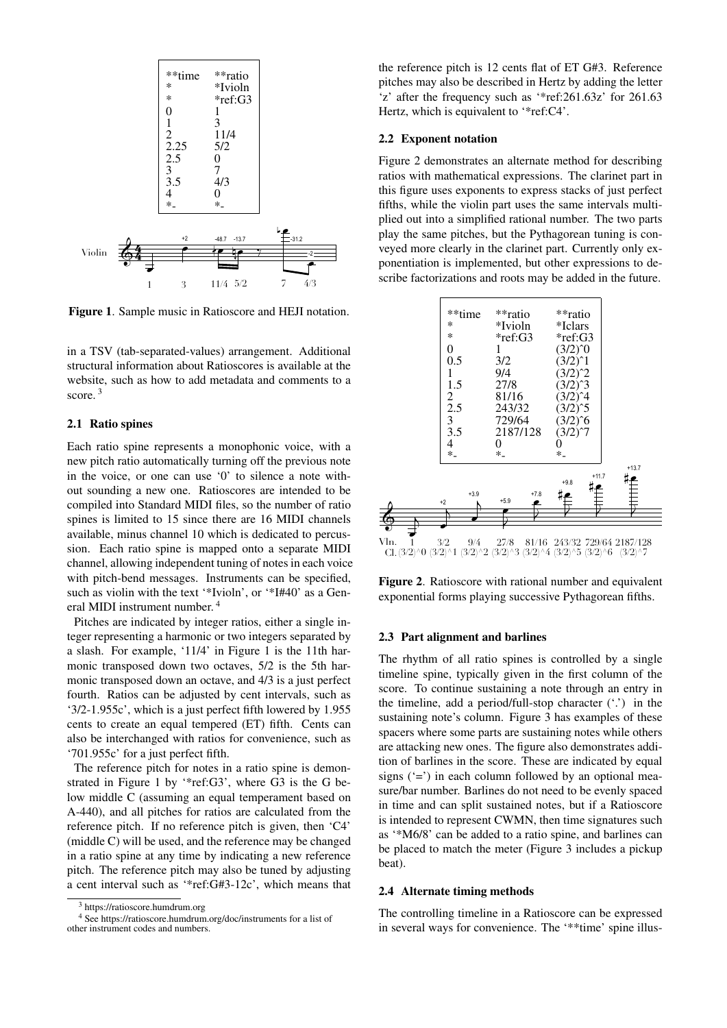<span id="page-1-0"></span>

Figure 1. Sample music in Ratioscore and HEJI notation.

in a TSV (tab-separated-values) arrangement. Additional structural information about Ratioscores is available at the website, such as how to add metadata and comments to a score.<sup>[3](#page-1-1)</sup>

## 2.1 Ratio spines

Each ratio spine represents a monophonic voice, with a new pitch ratio automatically turning off the previous note in the voice, or one can use '0' to silence a note without sounding a new one. Ratioscores are intended to be compiled into Standard MIDI files, so the number of ratio spines is limited to 15 since there are 16 MIDI channels available, minus channel 10 which is dedicated to percussion. Each ratio spine is mapped onto a separate MIDI channel, allowing independent tuning of notes in each voice with pitch-bend messages. Instruments can be specified, such as violin with the text '\*Ivioln', or '\*I#40' as a General MIDI instrument number. [4](#page-1-2)

Pitches are indicated by integer ratios, either a single integer representing a harmonic or two integers separated by a slash. For example, '11/4' in Figure [1](#page-1-0) is the 11th harmonic transposed down two octaves, 5/2 is the 5th harmonic transposed down an octave, and 4/3 is a just perfect fourth. Ratios can be adjusted by cent intervals, such as '3/2-1.955c', which is a just perfect fifth lowered by 1.955 cents to create an equal tempered (ET) fifth. Cents can also be interchanged with ratios for convenience, such as '701.955c' for a just perfect fifth.

The reference pitch for notes in a ratio spine is demonstrated in Figure [1](#page-1-0) by '\*ref:G3', where G3 is the G below middle C (assuming an equal temperament based on A-440), and all pitches for ratios are calculated from the reference pitch. If no reference pitch is given, then 'C4' (middle C) will be used, and the reference may be changed in a ratio spine at any time by indicating a new reference pitch. The reference pitch may also be tuned by adjusting a cent interval such as '\*ref:G#3-12c', which means that the reference pitch is 12 cents flat of ET G#3. Reference pitches may also be described in Hertz by adding the letter 'z' after the frequency such as '\*ref:261.63z' for 261.63 Hertz, which is equivalent to '\*ref:C4'.

# 2.2 Exponent notation

Figure [2](#page-1-3) demonstrates an alternate method for describing ratios with mathematical expressions. The clarinet part in this figure uses exponents to express stacks of just perfect fifths, while the violin part uses the same intervals multiplied out into a simplified rational number. The two parts play the same pitches, but the Pythagorean tuning is conveyed more clearly in the clarinet part. Currently only exponentiation is implemented, but other expressions to describe factorizations and roots may be added in the future.

<span id="page-1-3"></span>

Figure 2. Ratioscore with rational number and equivalent exponential forms playing successive Pythagorean fifths.

# 2.3 Part alignment and barlines

The rhythm of all ratio spines is controlled by a single timeline spine, typically given in the first column of the score. To continue sustaining a note through an entry in the timeline, add a period/full-stop character  $('')$  in the sustaining note's column. Figure [3](#page-2-0) has examples of these spacers where some parts are sustaining notes while others are attacking new ones. The figure also demonstrates addition of barlines in the score. These are indicated by equal signs  $(4)$  in each column followed by an optional measure/bar number. Barlines do not need to be evenly spaced in time and can split sustained notes, but if a Ratioscore is intended to represent CWMN, then time signatures such as '\*M6/8' can be added to a ratio spine, and barlines can be placed to match the meter (Figure [3](#page-2-0) includes a pickup beat).

# 2.4 Alternate timing methods

The controlling timeline in a Ratioscore can be expressed in several ways for convenience. The '\*\*time' spine illus-

<span id="page-1-2"></span><span id="page-1-1"></span><sup>3</sup> https://ratioscore.humdrum.org

<sup>4</sup> See https://ratioscore.humdrum.org/doc/instruments for a list of other instrument codes and numbers.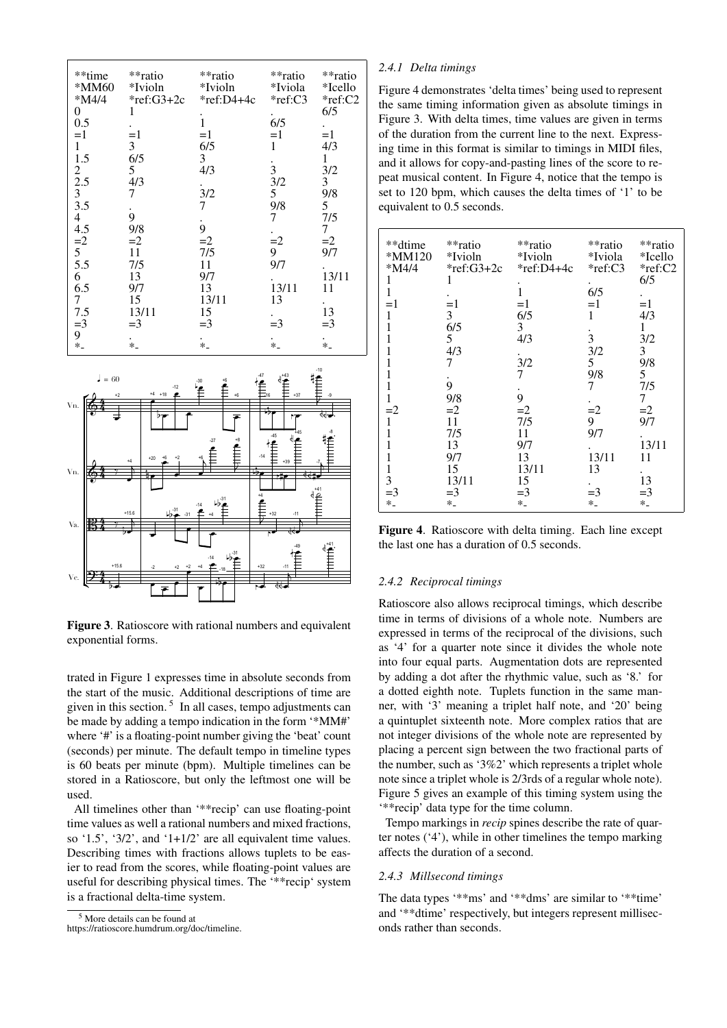<span id="page-2-0"></span>

| **time          | **ratio    | **ratio      | **ratio   | **ratio      |
|-----------------|------------|--------------|-----------|--------------|
| *MM60           | *Ivioln    | *Ivioln      | *Iviola   | *Icello      |
|                 |            |              |           |              |
| $*M4/4$         | *ref:G3+2c | $*ref:D4+4c$ | $*ref:C3$ | $*ref:C2$    |
| 0               | 1          |              |           | 6/5          |
| 0.5             |            | 1            | 6/5       |              |
| $=1$            | $=1$       | $=1$         | $=1$      | $=1$         |
| $\mathbf{1}$    | 3          | 6/5          | 1         | 4/3          |
| 1.5             | 6/5        | 3            |           | $\mathbf{1}$ |
| $\overline{2}$  | 5          | 4/3          | 3         | 3/2          |
|                 |            |              | 3/2       | 3            |
| $\frac{2.5}{3}$ | 4/3        |              |           |              |
|                 | 7          | 3/2          | 5         | 9/8          |
| 3.5             |            | 7            | 9/8       | 5            |
| 4               | 9          |              | 7         | 7/5          |
| 4.5             | 9/8        | 9            |           | 7            |
|                 | $=2$       | $=2$         | $=2$      | $=2$         |
| $\frac{1}{5}$   | 11         | 7/5          | 9         | 9/7          |
| 5.5             | 7/5        | 11           | 9/7       |              |
| 6               | 13         | 9/7          |           | 13/11        |
|                 |            |              |           |              |
| 6.5             | 9/7        | 13           | 13/11     | 11           |
| 7               | 15         | 13/11        | 13        |              |
| 7.5             | 13/11      | 15           |           | 13           |
| $=$ 3           | $=$ 3      | $=$ 3        | $=$ 3     | $=$ 3        |
| 9               |            |              |           |              |
| $\ast$          | $\ast$     | $\ast$       | $\ast$    | $\ast$       |



**Figure 3.** Ratioscore with rational numbers and equivalent exponential forms.

trated in Figure 1 expresses time in absolute seconds from the start of the music. Additional descriptions of time are given in this section.<sup>5</sup> In all cases, tempo adjustments can be made by adding a tempo indication in the form "\*MM#" where '#' is a floating-point number giving the 'beat' count (seconds) per minute. The default tempo in timeline types is 60 beats per minute (bpm). Multiple timelines can be stored in a Ratioscore, but only the leftmost one will be used.

All timelines other than "\*\* recip" can use floating-point time values as well a rational numbers and mixed fractions. so '1.5', '3/2', and '1+1/2' are all equivalent time values. Describing times with fractions allows tuplets to be easier to read from the scores, while floating-point values are useful for describing physical times. The '\*\*recip' system is a fractional delta-time system.

<span id="page-2-1"></span><sup>5</sup> More details can be found at

https://ratioscore.humdrum.org/doc/timeline.

### 2.4.1 Delta timings

Figure 4 demonstrates 'delta times' being used to represent the same timing information given as absolute timings in Figure 3. With delta times, time values are given in terms of the duration from the current line to the next. Expressing time in this format is similar to timings in MIDI files, and it allows for copy-and-pasting lines of the score to repeat musical content. In Figure 4, notice that the tempo is set to 120 bpm, which causes the delta times of '1' to be equivalent to 0.5 seconds.

<span id="page-2-2"></span>

| **dtime  | **ratio    | **ratio    | **ratio | **ratio   |
|----------|------------|------------|---------|-----------|
| $*MM120$ | *Ivioln    | *Ivioln    | *Iviola | *Icello   |
| *M4/4    | *ref:G3+2c | *ref:D4+4c | *ref:C3 | $*ref:C2$ |
|          |            |            |         | 6/5       |
| 1        |            |            | 6/5     |           |
| $=1$     | $=1$       | $=1$       | $=1$    | $=1$      |
| 1        | 3          | 6/5        | 1       | 4/3       |
|          | 6/5        | 3          |         | 1         |
|          | 5          | 4/3        | 3       | 3/2       |
| 1        | 4/3        |            | 3/2     | 3         |
|          | 7          | 3/2        | 5       | 9/8       |
|          |            | 7          | 9/8     | 5         |
|          | 9          |            | 7       | 7/5       |
| 1        | 9/8        | 9          |         | 7         |
| $=2$     | $=2$       | $=2$       | $=2$    | $=2$      |
| 1        | 11         | 7/5        | 9       | 9/7       |
|          | 7/5        | 11         | 9/7     |           |
|          | 13         | 9/7        |         | 13/11     |
|          | 9/7        | 13         | 13/11   | 11        |
| 1        | 15         | 13/11      | 13      |           |
| 3        | 13/11      | 15         |         | 13        |
| $=$ 3    | $=$ 3      | $=$ 3      | $=$ 3   | $=$ 3     |
| $\ast_-$ | $\ast$ .   | $\ast$     | $*$     | $\ast$ .  |

Figure 4. Ratioscore with delta timing. Each line except the last one has a duration of 0.5 seconds.

#### 2.4.2 Reciprocal timings

Ratioscore also allows reciprocal timings, which describe time in terms of divisions of a whole note. Numbers are expressed in terms of the reciprocal of the divisions, such as '4' for a quarter note since it divides the whole note into four equal parts. Augmentation dots are represented by adding a dot after the rhythmic value, such as '8.' for a dotted eighth note. Tuplets function in the same manner, with '3' meaning a triplet half note, and '20' being a quintuplet sixteenth note. More complex ratios that are not integer divisions of the whole note are represented by placing a percent sign between the two fractional parts of the number, such as '3%2' which represents a triplet whole note since a triplet whole is 2/3rds of a regular whole note). Figure 5 gives an example of this timing system using the "\*\* recip" data type for the time column.

Tempo markings in *recip* spines describe the rate of quarter notes  $('4')$ , while in other timelines the tempo marking affects the duration of a second.

### 2.4.3 Millsecond timings

The data types '\*\*ms' and '\*\*dms' are similar to '\*\*time' and "\*\*dtime" respectively, but integers represent milliseconds rather than seconds.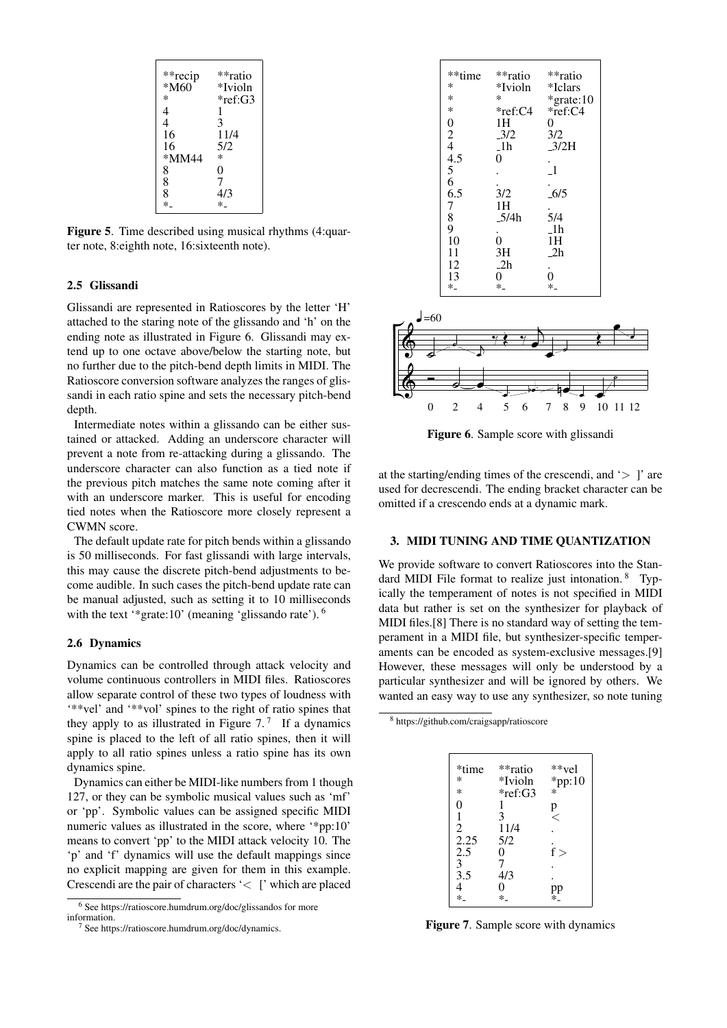<span id="page-3-0"></span>

| **recip<br>$*M60$ | **ratio<br>*Ivioln |
|-------------------|--------------------|
| ∗                 | *ref:G3            |
| 4                 | 1                  |
| 4                 | 3                  |
| 16                | 11/4               |
| 16                | 5/2                |
| *MM44             | ∗                  |
| 8                 | 0                  |
| 8                 | 7                  |
| 8                 | 4/3                |
| $\ast$            | $\ast$             |

Figure 5. Time described using musical rhythms (4:quarter note, 8:eighth note, 16:sixteenth note).

#### 2.5 Glissandi

Glissandi are represented in Ratioscores by the letter 'H' attached to the staring note of the glissando and 'h' on the ending note as illustrated in Figure [6.](#page-3-1) Glissandi may extend up to one octave above/below the starting note, but no further due to the pitch-bend depth limits in MIDI. The Ratioscore conversion software analyzes the ranges of glissandi in each ratio spine and sets the necessary pitch-bend depth.

Intermediate notes within a glissando can be either sustained or attacked. Adding an underscore character will prevent a note from re-attacking during a glissando. The underscore character can also function as a tied note if the previous pitch matches the same note coming after it with an underscore marker. This is useful for encoding tied notes when the Ratioscore more closely represent a CWMN score.

The default update rate for pitch bends within a glissando is 50 milliseconds. For fast glissandi with large intervals, this may cause the discrete pitch-bend adjustments to become audible. In such cases the pitch-bend update rate can be manual adjusted, such as setting it to 10 milliseconds with the text '\*grate:10' (meaning 'glissando rate'). <sup>[6](#page-3-2)</sup>

#### 2.6 Dynamics

Dynamics can be controlled through attack velocity and volume continuous controllers in MIDI files. Ratioscores allow separate control of these two types of loudness with '\*\*vel' and '\*\*vol' spines to the right of ratio spines that they apply to as illustrated in Figure  $7<sup>7</sup>$  $7<sup>7</sup>$  If a dynamics spine is placed to the left of all ratio spines, then it will apply to all ratio spines unless a ratio spine has its own dynamics spine.

Dynamics can either be MIDI-like numbers from 1 though 127, or they can be symbolic musical values such as 'mf' or 'pp'. Symbolic values can be assigned specific MIDI numeric values as illustrated in the score, where '\*pp:10' means to convert 'pp' to the MIDI attack velocity 10. The 'p' and 'f' dynamics will use the default mappings since no explicit mapping are given for them in this example. Crescendi are the pair of characters '< [' which are placed

<span id="page-3-1"></span>

| **time                                                                | **ratio        | **ratio        |
|-----------------------------------------------------------------------|----------------|----------------|
| ∗                                                                     | *Ivioln        | *Iclars        |
| $\ast$                                                                | *              | *grate:10      |
| *                                                                     | $*ref:C4$      | $*ref: C4$     |
|                                                                       | 1H -           | 0              |
|                                                                       | $-3/2$         | 3/2            |
|                                                                       | $-1h$          | 3/2H           |
| 0<br>$\frac{2}{4}$<br>$\frac{4}{5}$<br>$\frac{6}{6}$<br>$\frac{6}{5}$ | 0              |                |
|                                                                       |                | $\overline{1}$ |
|                                                                       |                |                |
|                                                                       | 3/2            | $-6/5$         |
|                                                                       | 1H             |                |
| $\begin{array}{c} 7 \\ 8 \\ 9 \end{array}$                            | 5/4h           | 5/4            |
|                                                                       |                | $-1h$          |
| 10                                                                    | $\overline{0}$ | 1H             |
| 11                                                                    | 3H             | 2h             |
| 12                                                                    | 2h             |                |
| 13                                                                    | 0              | $\overline{0}$ |
| $*_{-}$                                                               | $*_{-}$        | $\ast$         |
|                                                                       |                |                |



Figure 6. Sample score with glissandi

at the starting/ending times of the crescendi, and  $\ge$  ]' are used for decrescendi. The ending bracket character can be omitted if a crescendo ends at a dynamic mark.

# 3. MIDI TUNING AND TIME QUANTIZATION

We provide software to convert Ratioscores into the Stan-dard MIDI File format to realize just intonation. <sup>[8](#page-3-5)</sup> Typically the temperament of notes is not specified in MIDI data but rather is set on the synthesizer for playback of MIDI files.[\[8\]](#page-6-7) There is no standard way of setting the temperament in a MIDI file, but synthesizer-specific temperaments can be encoded as system-exclusive messages.[\[9\]](#page-6-8) However, these messages will only be understood by a particular synthesizer and will be ignored by others. We wanted an easy way to use any synthesizer, so note tuning

<span id="page-3-5"></span><span id="page-3-3"></span><sup>8</sup> https://github.com/craigsapp/ratioscore

| *time                | **ratio   |                          |
|----------------------|-----------|--------------------------|
| *                    | *Ivioln   | **vel<br>*pp:10          |
| ∗                    | $*ref:G3$ | $\ast$                   |
| 0                    | 1         |                          |
|                      | 3         | $\stackrel{\text{p}}{<}$ |
| $\overline{c}$       | 11/4      |                          |
| 2.25                 | 5/2       |                          |
| 2.5                  | 0         | f >                      |
| $\frac{1}{3}$<br>3.5 | 7         |                          |
|                      | 4/3       |                          |
|                      | 0         |                          |
| $*_{-}$              | $*_{-}$   | pp<br>*-                 |

Figure 7. Sample score with dynamics

<span id="page-3-2"></span><sup>6</sup> See https://ratioscore.humdrum.org/doc/glissandos for more information.

<span id="page-3-4"></span><sup>&</sup>lt;sup>7</sup> See https://ratioscore.humdrum.org/doc/dynamics.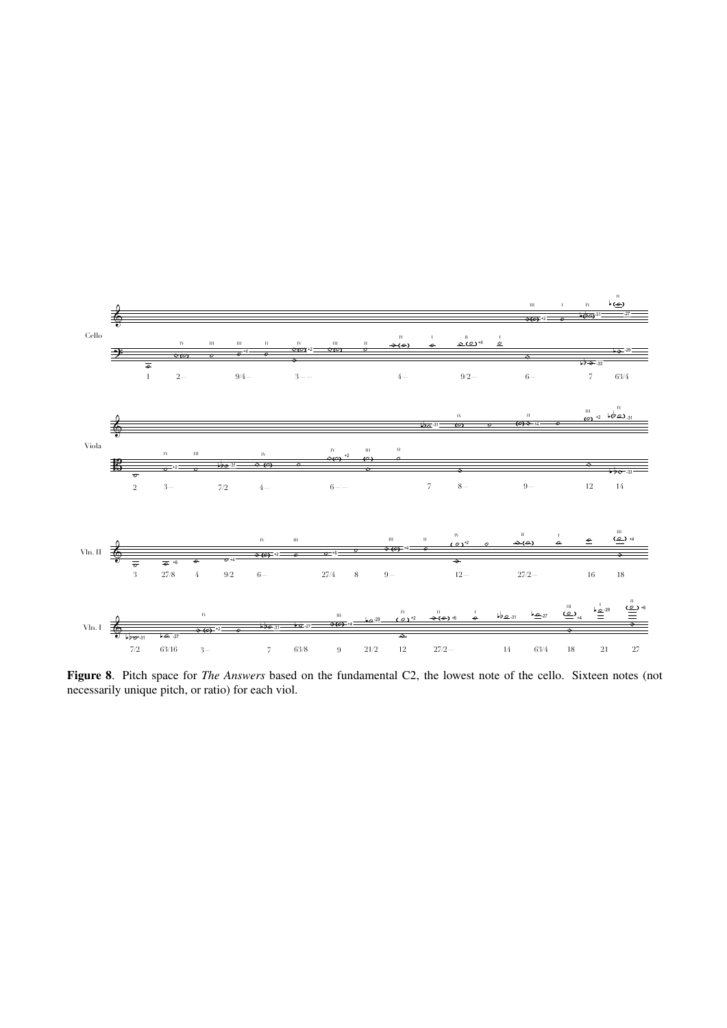

Figure 8. Pitch space for *The Answers* based on the fundamental C2, the lowest note of the cello. Sixteen notes (not necessarily unique pitch, or ratio) for each viol.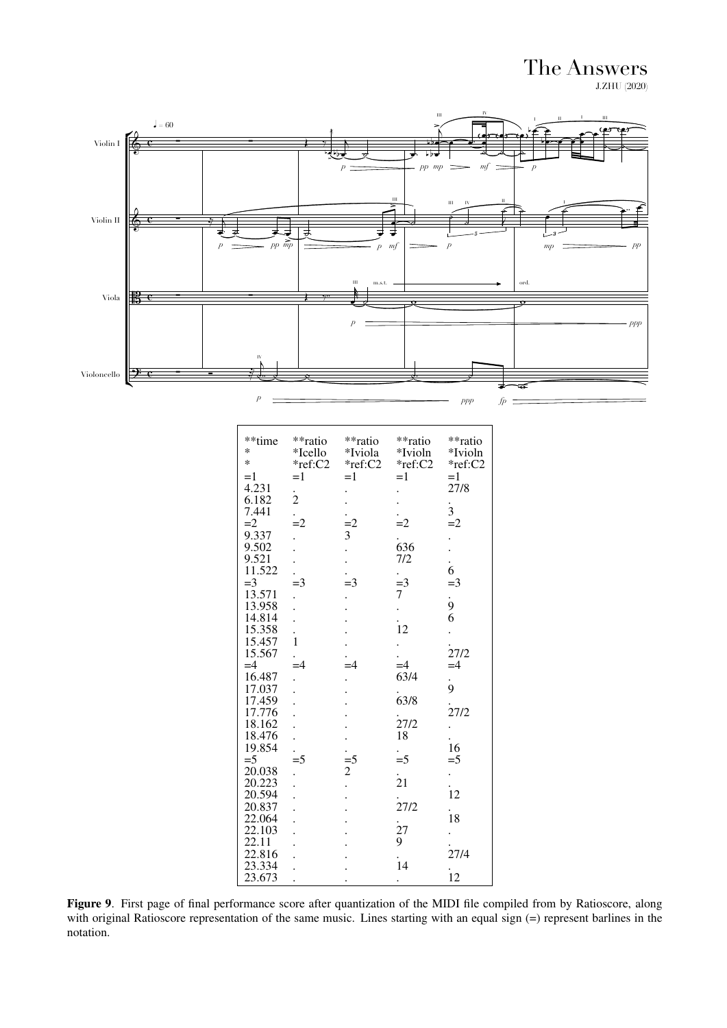The Answers **J.ZHU** (2020)



| **time<br>*      | **ratio<br>*Icello | **ratio<br>*Iviola | **ratio<br>*Ivioln   | **ratio<br>*Ivioln |
|------------------|--------------------|--------------------|----------------------|--------------------|
| *                | *ref:C2            | *ref:C2            | *ref:C2              | *ref:C2            |
| $=1$             | $=1$               | $=1$               | $=1$                 | $=1$               |
| 4.231            |                    |                    |                      | 27/8               |
| 6.182            | $\frac{1}{2}$      |                    |                      |                    |
| 7.441            |                    |                    |                      | $\frac{1}{3}$      |
| $=2$             | $=2$               | $\frac{1}{3}$      | $=2$                 | $=2$               |
| 9.337            |                    |                    |                      |                    |
| 9.502            |                    |                    | 636                  |                    |
| 9.521            |                    |                    | 7/2                  | $\frac{1}{6}$      |
| 11.522           |                    |                    |                      | $=$ 3              |
| $=$ 3            | $=$ 3              | $=$ 3              | $\frac{1}{7}$        |                    |
| 13.571<br>13.958 |                    |                    |                      | $\frac{1}{9}$      |
| 14.814           |                    |                    |                      | 6                  |
| 15.358           |                    |                    | $\frac{1}{12}$       |                    |
| 15.457           | $\mathbf{1}$       |                    |                      |                    |
| 15.567           |                    |                    |                      | 27/2               |
| $=4$             | $=4$               | $=4$               | $=4$                 | $=4$               |
| 16.487           |                    |                    | 63/4                 |                    |
| 17.037           |                    |                    |                      | $\frac{1}{9}$      |
| 17.459           |                    |                    | 63/8                 |                    |
| 17.776           |                    |                    |                      | .<br>27/2          |
| 18.162           |                    |                    | .<br>27/2            |                    |
| 18.476           |                    |                    | 18                   |                    |
| 19.854           |                    |                    |                      | 16                 |
| $=$ 5            | $=$ 5              | $\frac{1}{2}$      | $\frac{1}{5}$        | $=$ 5              |
| 20.038           |                    |                    |                      |                    |
| 20.223           |                    |                    | $\frac{1}{21}$       |                    |
| 20.594           |                    |                    |                      | .<br>12            |
| 20.837           |                    |                    | 27/2                 |                    |
| 22.064           |                    |                    |                      | .<br>18            |
| 22.103           |                    |                    | .<br>27<br>9         |                    |
| 22.11            |                    |                    |                      |                    |
| 22.816           |                    |                    | .<br>14              | 27/4               |
| 23.334           |                    |                    |                      | .<br>12            |
| 23.673           |                    |                    | $\ddot{\phantom{0}}$ |                    |

<span id="page-5-0"></span>Figure 9. First page of final performance score after quantization of the MIDI file compiled from by Ratioscore, along with original Ratioscore representation of the same music. Lines starting with an equal sign  $(=)$  represent barlines in the notation.